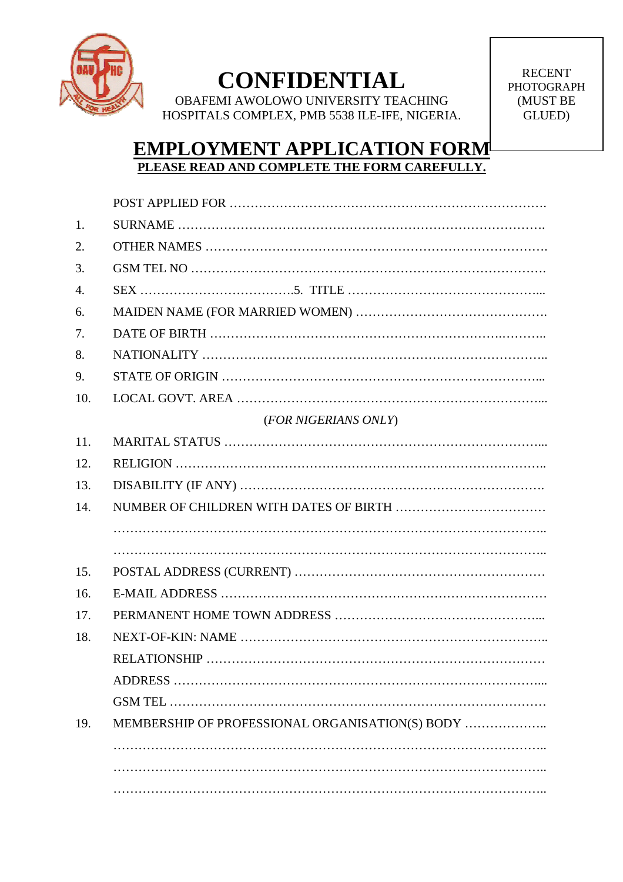

# **CONFIDENTIAL**

OBAFEMI AWOLOWO UNIVERSITY TEACHING HOSPITALS COMPLEX, PMB 5538 ILE-IFE, NIGERIA.

RECENT PHOTOGRAPH (MUST BE GLUED)

### **EMPLOYMENT APPLICATION FORM PLEASE READ AND COMPLETE THE FORM CAREFULLY.**

| 1.  |                                                 |  |  |
|-----|-------------------------------------------------|--|--|
| 2.  |                                                 |  |  |
| 3.  |                                                 |  |  |
| 4.  |                                                 |  |  |
| 6.  |                                                 |  |  |
| 7.  |                                                 |  |  |
| 8.  |                                                 |  |  |
| 9.  |                                                 |  |  |
| 10. |                                                 |  |  |
|     | (FOR NIGERIANS ONLY)                            |  |  |
| 11. |                                                 |  |  |
| 12. |                                                 |  |  |
| 13. |                                                 |  |  |
| 14. |                                                 |  |  |
|     |                                                 |  |  |
|     |                                                 |  |  |
| 15. |                                                 |  |  |
| 16. |                                                 |  |  |
| 17. |                                                 |  |  |
| 18. |                                                 |  |  |
|     |                                                 |  |  |
|     |                                                 |  |  |
|     |                                                 |  |  |
| 19. | MEMBERSHIP OF PROFESSIONAL ORGANISATION(S) BODY |  |  |
|     |                                                 |  |  |
|     |                                                 |  |  |
|     |                                                 |  |  |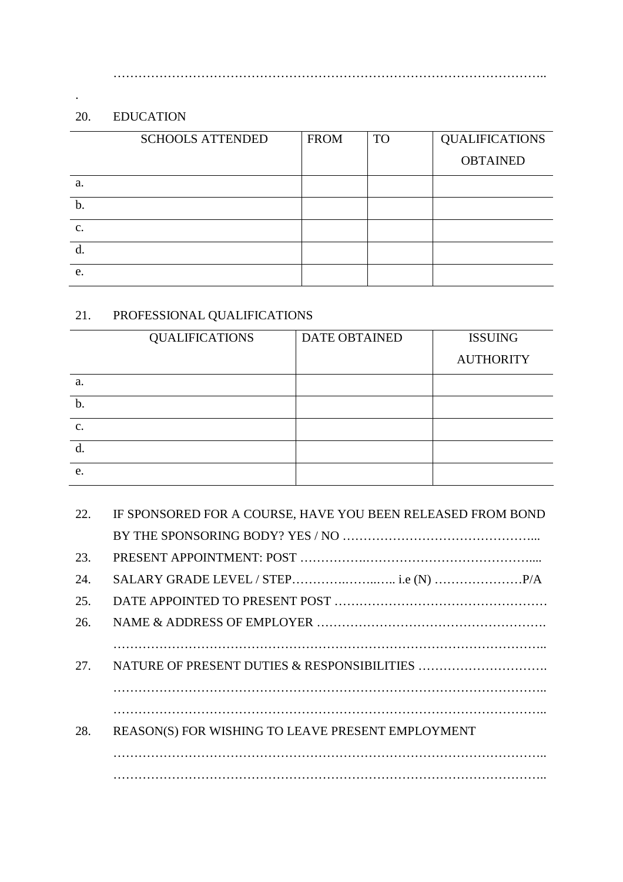#### 20. EDUCATION

.

|    | <b>SCHOOLS ATTENDED</b> | <b>FROM</b> | <b>TO</b> | <b>QUALIFICATIONS</b> |
|----|-------------------------|-------------|-----------|-----------------------|
|    |                         |             |           | <b>OBTAINED</b>       |
| a. |                         |             |           |                       |
| b. |                         |             |           |                       |
| c. |                         |             |           |                       |
|    |                         |             |           |                       |
| e. |                         |             |           |                       |

…………………………………………………………………………………………..

#### 21. PROFESSIONAL QUALIFICATIONS

|    | <b>QUALIFICATIONS</b> | <b>DATE OBTAINED</b> | <b>ISSUING</b>   |
|----|-----------------------|----------------------|------------------|
|    |                       |                      | <b>AUTHORITY</b> |
| a. |                       |                      |                  |
| b. |                       |                      |                  |
| c. |                       |                      |                  |
|    |                       |                      |                  |
| e. |                       |                      |                  |

| 22. | IF SPONSORED FOR A COURSE, HAVE YOU BEEN RELEASED FROM BOND |  |  |
|-----|-------------------------------------------------------------|--|--|
|     |                                                             |  |  |
| 23. |                                                             |  |  |
| 24. |                                                             |  |  |
| 25. |                                                             |  |  |
| 26. |                                                             |  |  |
|     |                                                             |  |  |
| 27. |                                                             |  |  |
|     |                                                             |  |  |
|     |                                                             |  |  |
| 28. | REASON(S) FOR WISHING TO LEAVE PRESENT EMPLOYMENT           |  |  |
|     |                                                             |  |  |
|     |                                                             |  |  |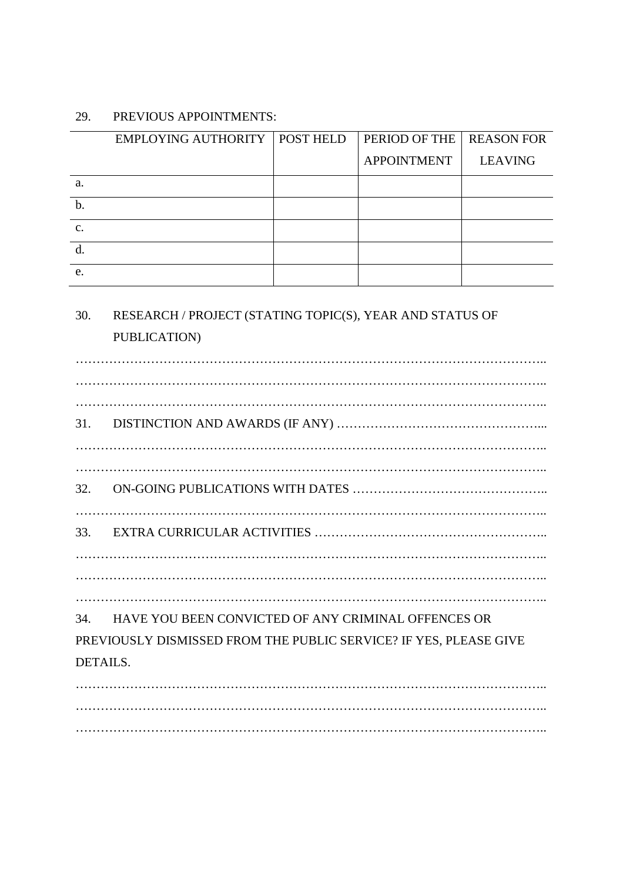#### 29. PREVIOUS APPOINTMENTS:

|                | EMPLOYING AUTHORITY   POST HELD | PERIOD OF THE   REASON FOR |                |
|----------------|---------------------------------|----------------------------|----------------|
|                |                                 | <b>APPOINTMENT</b>         | <b>LEAVING</b> |
| a.             |                                 |                            |                |
| $\mathbf b$ .  |                                 |                            |                |
| $\mathbf{c}$ . |                                 |                            |                |
|                |                                 |                            |                |
| e.             |                                 |                            |                |

## 30. RESEARCH / PROJECT (STATING TOPIC(S), YEAR AND STATUS OF PUBLICATION)

………………………………………………………………………………………………….. ………………………………………………………………………………………………….. ………………………………………………………………………………………………….. 31. DISTINCTION AND AWARDS (IF ANY) …………………………………………... ………………………………………………………………………………………………….. ………………………………………………………………………………………………….. 32. ON-GOING PUBLICATIONS WITH DATES ……………………………………….. ………………………………………………………………………………………………….. 33. EXTRA CURRICULAR ACTIVITIES ……………………………………………….. ………………………………………………………………………………………………….. ………………………………………………………………………………………………….. ………………………………………………………………………………………………….. 34. HAVE YOU BEEN CONVICTED OF ANY CRIMINAL OFFENCES OR PREVIOUSLY DISMISSED FROM THE PUBLIC SERVICE? IF YES, PLEASE GIVE DETAILS. ………………………………………………………………………………………………….. …………………………………………………………………………………………………..

…………………………………………………………………………………………………..